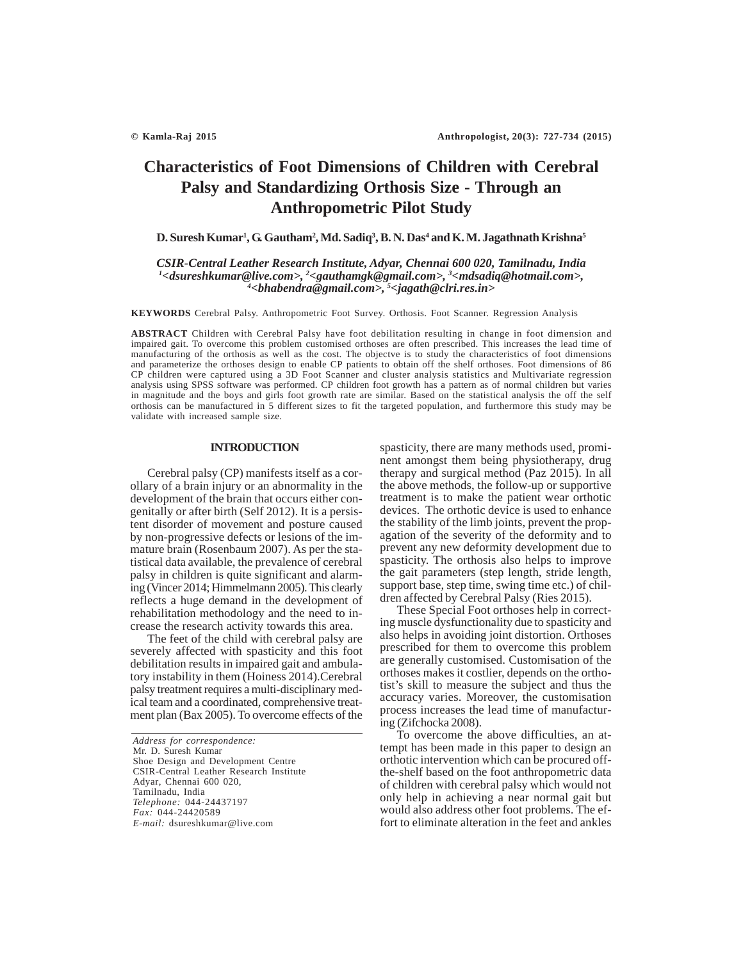# **Characteristics of Foot Dimensions of Children with Cerebral Palsy and Standardizing Orthosis Size - Through an Anthropometric Pilot Study**

#### $D$ . Suresh Kumar<sup>1</sup>, G. Gautham<sup>2</sup>, Md. Sadiq<sup>3</sup>, B. N. Das<sup>4</sup> and K. M. Jagathnath Krishna<sup>5</sup>

### *CSIR-Central Leather Research Institute, Adyar, Chennai 600 020, Tamilnadu, India 1 <dsureshkumar@live.com>, 2 <gauthamgk@gmail.com>, 3 <mdsadiq@hotmail.com>, 4 <bhabendra@gmail.com>, 5 <jagath@clri.res.in>*

**KEYWORDS** Cerebral Palsy. Anthropometric Foot Survey. Orthosis. Foot Scanner. Regression Analysis

**ABSTRACT** Children with Cerebral Palsy have foot debilitation resulting in change in foot dimension and impaired gait. To overcome this problem customised orthoses are often prescribed. This increases the lead time of manufacturing of the orthosis as well as the cost. The objectve is to study the characteristics of foot dimensions and parameterize the orthoses design to enable CP patients to obtain off the shelf orthoses. Foot dimensions of 86 CP children were captured using a 3D Foot Scanner and cluster analysis statistics and Multivariate regression analysis using SPSS software was performed. CP children foot growth has a pattern as of normal children but varies in magnitude and the boys and girls foot growth rate are similar. Based on the statistical analysis the off the self orthosis can be manufactured in 5 different sizes to fit the targeted population, and furthermore this study may be validate with increased sample size.

#### **INTRODUCTION**

Cerebral palsy (CP) manifests itself as a corollary of a brain injury or an abnormality in the development of the brain that occurs either congenitally or after birth (Self 2012). It is a persistent disorder of movement and posture caused by non-progressive defects or lesions of the immature brain (Rosenbaum 2007). As per the statistical data available, the prevalence of cerebral palsy in children is quite significant and alarming (Vincer 2014; Himmelmann 2005). This clearly reflects a huge demand in the development of rehabilitation methodology and the need to increase the research activity towards this area.

The feet of the child with cerebral palsy are severely affected with spasticity and this foot debilitation results in impaired gait and ambulatory instability in them (Hoiness 2014).Cerebral palsy treatment requires a multi-disciplinary medical team and a coordinated, comprehensive treatment plan (Bax 2005). To overcome effects of the

*Address for correspondence:* Mr. D. Suresh Kumar Shoe Design and Development Centre CSIR-Central Leather Research Institute Adyar, Chennai 600 020, Tamilnadu, India *Telephone:* 044-24437197 *Fax:* 044-24420589 *E-mail:* dsureshkumar@live.com

spasticity, there are many methods used, prominent amongst them being physiotherapy, drug therapy and surgical method (Paz 2015). In all the above methods, the follow-up or supportive treatment is to make the patient wear orthotic devices. The orthotic device is used to enhance the stability of the limb joints, prevent the propagation of the severity of the deformity and to prevent any new deformity development due to spasticity. The orthosis also helps to improve the gait parameters (step length, stride length, support base, step time, swing time etc.) of children affected by Cerebral Palsy (Ries 2015).

These Special Foot orthoses help in correcting muscle dysfunctionality due to spasticity and also helps in avoiding joint distortion. Orthoses prescribed for them to overcome this problem are generally customised. Customisation of the orthoses makes it costlier, depends on the orthotist's skill to measure the subject and thus the accuracy varies. Moreover, the customisation process increases the lead time of manufacturing (Zifchocka 2008).

To overcome the above difficulties, an attempt has been made in this paper to design an orthotic intervention which can be procured offthe-shelf based on the foot anthropometric data of children with cerebral palsy which would not only help in achieving a near normal gait but would also address other foot problems. The effort to eliminate alteration in the feet and ankles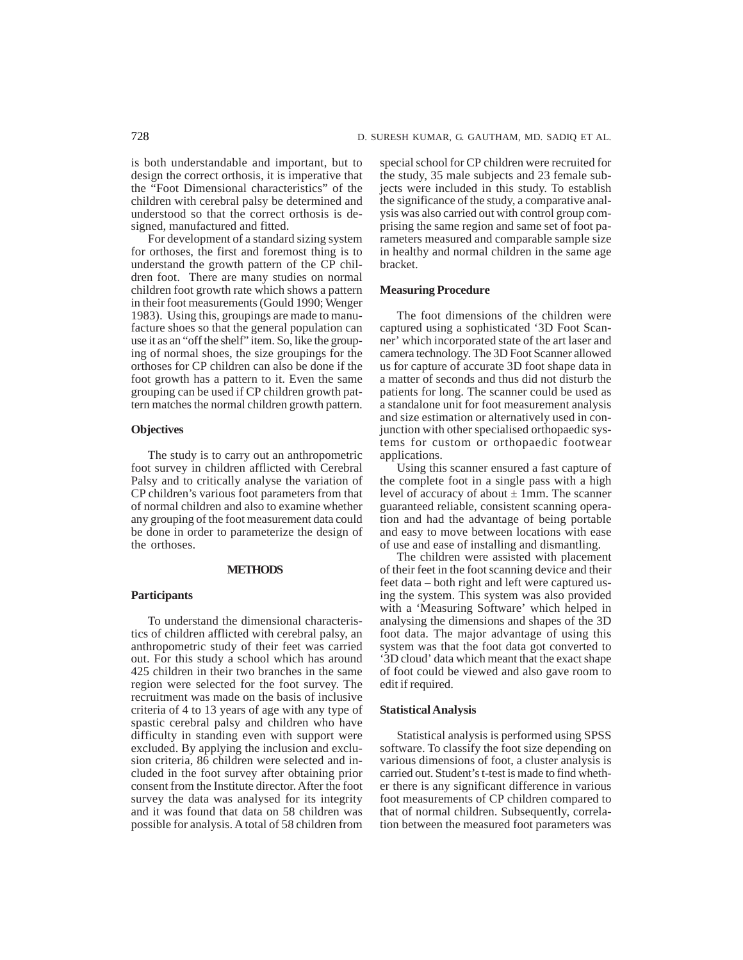is both understandable and important, but to design the correct orthosis, it is imperative that the "Foot Dimensional characteristics" of the children with cerebral palsy be determined and understood so that the correct orthosis is designed, manufactured and fitted.

For development of a standard sizing system for orthoses, the first and foremost thing is to understand the growth pattern of the CP children foot. There are many studies on normal children foot growth rate which shows a pattern in their foot measurements (Gould 1990; Wenger 1983). Using this, groupings are made to manufacture shoes so that the general population can use it as an "off the shelf" item. So, like the grouping of normal shoes, the size groupings for the orthoses for CP children can also be done if the foot growth has a pattern to it. Even the same grouping can be used if CP children growth pattern matches the normal children growth pattern.

#### **Objectives**

The study is to carry out an anthropometric foot survey in children afflicted with Cerebral Palsy and to critically analyse the variation of CP children's various foot parameters from that of normal children and also to examine whether any grouping of the foot measurement data could be done in order to parameterize the design of the orthoses.

#### **METHODS**

#### **Participants**

To understand the dimensional characteristics of children afflicted with cerebral palsy, an anthropometric study of their feet was carried out. For this study a school which has around 425 children in their two branches in the same region were selected for the foot survey. The recruitment was made on the basis of inclusive criteria of 4 to 13 years of age with any type of spastic cerebral palsy and children who have difficulty in standing even with support were excluded. By applying the inclusion and exclusion criteria, 86 children were selected and included in the foot survey after obtaining prior consent from the Institute director. After the foot survey the data was analysed for its integrity and it was found that data on 58 children was possible for analysis. A total of 58 children from special school for CP children were recruited for the study, 35 male subjects and 23 female subjects were included in this study. To establish the significance of the study, a comparative analysis was also carried out with control group comprising the same region and same set of foot parameters measured and comparable sample size in healthy and normal children in the same age bracket.

#### **Measuring Procedure**

The foot dimensions of the children were captured using a sophisticated '3D Foot Scanner' which incorporated state of the art laser and camera technology. The 3D Foot Scanner allowed us for capture of accurate 3D foot shape data in a matter of seconds and thus did not disturb the patients for long. The scanner could be used as a standalone unit for foot measurement analysis and size estimation or alternatively used in conjunction with other specialised orthopaedic systems for custom or orthopaedic footwear applications.

Using this scanner ensured a fast capture of the complete foot in a single pass with a high level of accuracy of about  $\pm 1$  mm. The scanner guaranteed reliable, consistent scanning operation and had the advantage of being portable and easy to move between locations with ease of use and ease of installing and dismantling.

The children were assisted with placement of their feet in the foot scanning device and their feet data – both right and left were captured using the system. This system was also provided with a 'Measuring Software' which helped in analysing the dimensions and shapes of the 3D foot data. The major advantage of using this system was that the foot data got converted to '3D cloud' data which meant that the exact shape of foot could be viewed and also gave room to edit if required.

#### **Statistical Analysis**

Statistical analysis is performed using SPSS software. To classify the foot size depending on various dimensions of foot, a cluster analysis is carried out. Student's t-test is made to find whether there is any significant difference in various foot measurements of CP children compared to that of normal children. Subsequently, correlation between the measured foot parameters was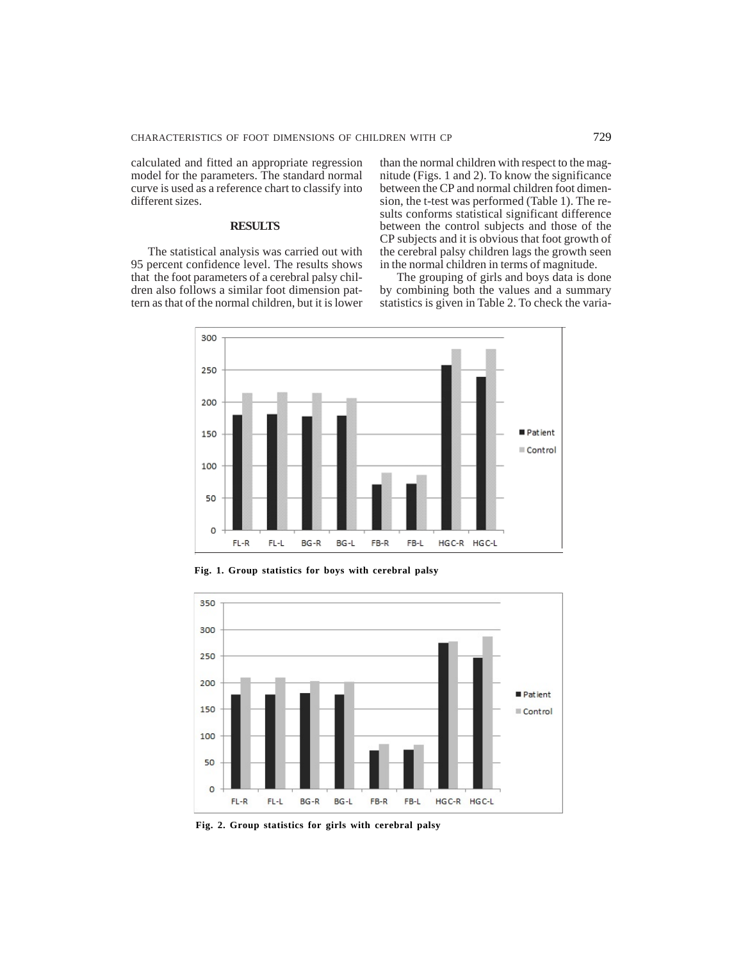calculated and fitted an appropriate regression model for the parameters. The standard normal curve is used as a reference chart to classify into different sizes.

#### **RESULTS**

The statistical analysis was carried out with 95 percent confidence level. The results shows that the foot parameters of a cerebral palsy children also follows a similar foot dimension pattern as that of the normal children, but it is lower than the normal children with respect to the magnitude (Figs. 1 and 2). To know the significance between the CP and normal children foot dimension, the t-test was performed (Table 1). The results conforms statistical significant difference between the control subjects and those of the CP subjects and it is obvious that foot growth of the cerebral palsy children lags the growth seen in the normal children in terms of magnitude.

The grouping of girls and boys data is done by combining both the values and a summary statistics is given in Table 2. To check the varia-



**Fig. 1. Group statistics for boys with cerebral palsy**



**Fig. 2. Group statistics for girls with cerebral palsy**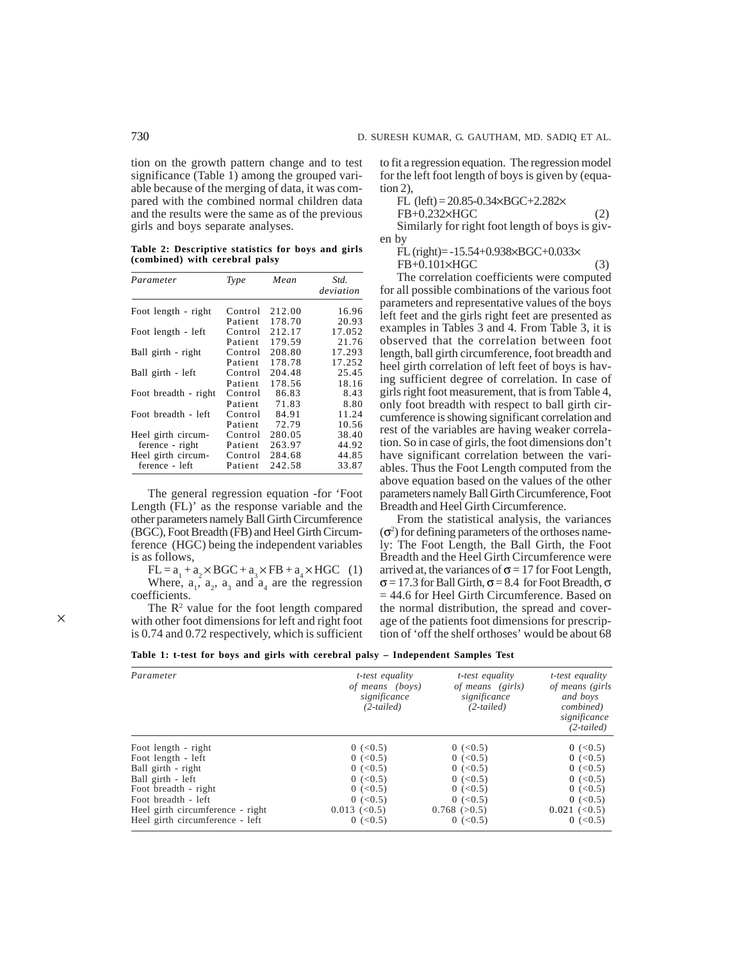tion on the growth pattern change and to test significance (Table 1) among the grouped variable because of the merging of data, it was compared with the combined normal children data and the results were the same as of the previous girls and boys separate analyses.

**Table 2: Descriptive statistics for boys and girls (combined) with cerebral palsy**

| Parameter            | Type    | Mean   | Std.<br>deviation |
|----------------------|---------|--------|-------------------|
| Foot length - right  | Control | 212.00 | 16.96             |
|                      | Patient | 178.70 | 20.93             |
| Foot length - left   | Control | 212.17 | 17.052            |
|                      | Patient | 179.59 | 21.76             |
| Ball girth - right   | Control | 208.80 | 17.293            |
|                      | Patient | 178.78 | 17.252            |
| Ball girth - left    | Control | 204.48 | 25.45             |
|                      | Patient | 178.56 | 18.16             |
| Foot breadth - right | Control | 86.83  | 8.43              |
|                      | Patient | 71.83  | 8.80              |
| Foot breadth - left  | Control | 84.91  | 11.24             |
|                      | Patient | 72.79  | 10.56             |
| Heel girth circum-   | Control | 280.05 | 38.40             |
| ference - right      | Patient | 263.97 | 44.92             |
| Heel girth circum-   | Control | 284.68 | 44.85             |
| ference - left       | Patient | 242.58 | 33.87             |

The general regression equation -for 'Foot Length (FL)' as the response variable and the other parameters namely Ball Girth Circumference (BGC), Foot Breadth (FB) and Heel Girth Circumference (HGC) being the independent variables is as follows,

 $FL = a_1 + a_2 \times BGC + a_3 \times FB + a_4 \times HGC$  (1) Where,  $a_1$ ,  $a_2$ ,  $a_3$  and  $a_4$  are the regression coefficients.

The  $\mathbb{R}^2$  value for the foot length compared with other foot dimensions for left and right foot is 0.74 and 0.72 respectively, which is sufficient to fit a regression equation. The regression model for the left foot length of boys is given by (equation 2),

FL (left) = 20.85-0.34×BGC+2.282×

 $FB+0.232\times HGC$  (2)

Similarly for right foot length of boys is given by

FL (right)= -15.54+0.938×BGC+0.033×  $FB+0.101\times HGC$  (3)

The correlation coefficients were computed for all possible combinations of the various foot parameters and representative values of the boys left feet and the girls right feet are presented as examples in Tables 3 and 4. From Table 3, it is observed that the correlation between foot length, ball girth circumference, foot breadth and heel girth correlation of left feet of boys is having sufficient degree of correlation. In case of girls right foot measurement, that is from Table 4, only foot breadth with respect to ball girth circumference is showing significant correlation and rest of the variables are having weaker correlation. So in case of girls, the foot dimensions don't have significant correlation between the variables. Thus the Foot Length computed from the above equation based on the values of the other parameters namely Ball Girth Circumference, Foot Breadth and Heel Girth Circumference.

From the statistical analysis, the variances  $(\sigma^2)$  for defining parameters of the orthoses namely: The Foot Length, the Ball Girth, the Foot Breadth and the Heel Girth Circumference were arrived at, the variances of  $\sigma$  = 17 for Foot Length,  $σ = 17.3$  for Ball Girth,  $σ = 8.4$  for Foot Breadth,  $σ$ = 44.6 for Heel Girth Circumference. Based on the normal distribution, the spread and coverage of the patients foot dimensions for prescription of 'off the shelf orthoses' would be about 68

**Table 1: t-test for boys and girls with cerebral palsy – Independent Samples Test**

| Parameter                        | <i>t</i> -test equality<br>of means (boys)<br>significance<br>$(2-tailed)$ | <i>t-test equality</i><br>of means (girls)<br>significance<br>$(2-tailed)$ | <i>t-test equality</i><br>of means (girls<br>and boys<br>combined)<br>significance<br>$(2-tailed)$ |
|----------------------------------|----------------------------------------------------------------------------|----------------------------------------------------------------------------|----------------------------------------------------------------------------------------------------|
| Foot length - right              | $0 \le 0.5$                                                                | $0 \le 0.5$                                                                | $0 \le 0.5$                                                                                        |
| Foot length - left               | $0 \le 0.5$                                                                | $0 \le 0.5$                                                                | $0 \le 0.5$                                                                                        |
| Ball girth - right               | $0 \le 0.5$                                                                | $0 \le 0.5$                                                                | $0 \le 0.5$                                                                                        |
| Ball girth - left                | $0 \le 0.5$                                                                | $0 \le 0.5$                                                                | $0 \le 0.5$                                                                                        |
| Foot breadth - right             | $0 \le 0.5$                                                                | $0 \le 0.5$                                                                | $0 \le 0.5$                                                                                        |
| Foot breadth - left              | $0 \le 0.5$                                                                | $0 \le 0.5$                                                                | $0 \le 0.5$                                                                                        |
| Heel girth circumference - right | $0.013 \leqslant 0.5$                                                      | $0.768$ ( $>0.5$ )                                                         | 0.021~(< 0.5)                                                                                      |
| Heel girth circumference - left  | $0 \le 0.5$                                                                | $0 \le 0.5$                                                                | 0 (< 0.5)                                                                                          |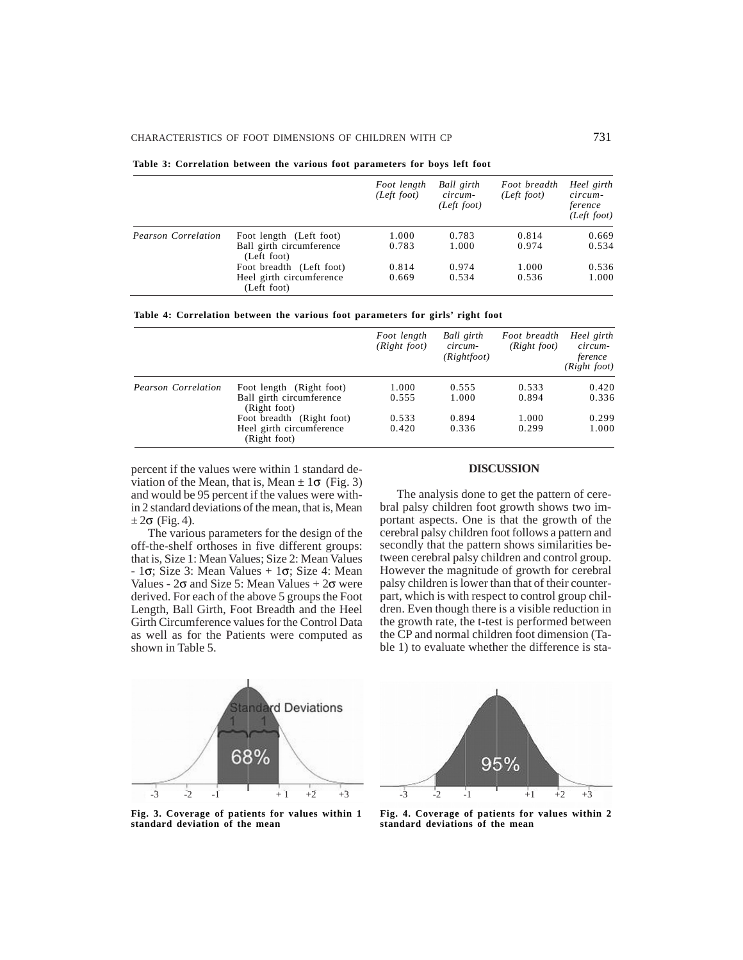|                     |                                         | Foot length<br>(Left foot) | Ball girth<br>circum-<br>(Left foot) | Foot breadth<br>(Left foot) | Heel girth<br>$circum-$<br>ference<br>(Left foot) |
|---------------------|-----------------------------------------|----------------------------|--------------------------------------|-----------------------------|---------------------------------------------------|
| Pearson Correlation | Foot length (Left foot)                 | 1.000                      | 0.783                                | 0.814                       | 0.669                                             |
|                     | Ball girth circumference<br>(Left foot) | 0.783                      | 1.000                                | 0.974                       | 0.534                                             |
|                     | Foot breadth (Left foot)                | 0.814                      | 0.974                                | 1.000                       | 0.536                                             |
|                     | Heel girth circumference<br>(Left foot) | 0.669                      | 0.534                                | 0.536                       | 1.000                                             |

|  |  |  |  |  |  | Table 3: Correlation between the various foot parameters for boys left foot |  |  |  |  |
|--|--|--|--|--|--|-----------------------------------------------------------------------------|--|--|--|--|
|--|--|--|--|--|--|-----------------------------------------------------------------------------|--|--|--|--|

|  | Table 4: Correlation between the various foot parameters for girls' right foot |  |  |  |  |  |  |  |  |  |
|--|--------------------------------------------------------------------------------|--|--|--|--|--|--|--|--|--|
|--|--------------------------------------------------------------------------------|--|--|--|--|--|--|--|--|--|

|                     |                                          | Foot length<br>(Right foot) | Ball girth<br>circum-<br>(Rightfoot) | Foot breadth<br>(Right foot) | Heel girth<br>circum-<br>ference<br>(Right foot) |
|---------------------|------------------------------------------|-----------------------------|--------------------------------------|------------------------------|--------------------------------------------------|
| Pearson Correlation | Foot length (Right foot)                 | 1.000                       | 0.555                                | 0.533                        | 0.420                                            |
|                     | Ball girth circumference<br>(Right foot) | 0.555                       | 1.000                                | 0.894                        | 0.336                                            |
|                     | Foot breadth (Right foot)                | 0.533                       | 0.894                                | 1.000                        | 0.299                                            |
|                     | Heel girth circumference<br>(Right foot) | 0.420                       | 0.336                                | 0.299                        | 1.000                                            |

percent if the values were within 1 standard deviation of the Mean, that is, Mean  $\pm 1\sigma$  (Fig. 3) and would be 95 percent if the values were within 2 standard deviations of the mean, that is, Mean  $\pm 2\sigma$  (Fig. 4).

The various parameters for the design of the off-the-shelf orthoses in five different groups: that is, Size 1: Mean Values; Size 2: Mean Values  $-1$ σ; Size 3: Mean Values  $+1$ σ; Size 4: Mean Values -  $2\sigma$  and Size 5: Mean Values +  $2\sigma$  were derived. For each of the above 5 groups the Foot Length, Ball Girth, Foot Breadth and the Heel Girth Circumference values for the Control Data as well as for the Patients were computed as shown in Table 5.

#### **DISCUSSION**

The analysis done to get the pattern of cerebral palsy children foot growth shows two important aspects. One is that the growth of the cerebral palsy children foot follows a pattern and secondly that the pattern shows similarities between cerebral palsy children and control group. However the magnitude of growth for cerebral palsy children is lower than that of their counterpart, which is with respect to control group children. Even though there is a visible reduction in the growth rate, the t-test is performed between the CP and normal children foot dimension (Table 1) to evaluate whether the difference is sta-



95%

**Fig. 3. Coverage of patients for values within 1 standard deviation of the mean**

**Fig. 4. Coverage of patients for values within 2 standard deviations of the mean**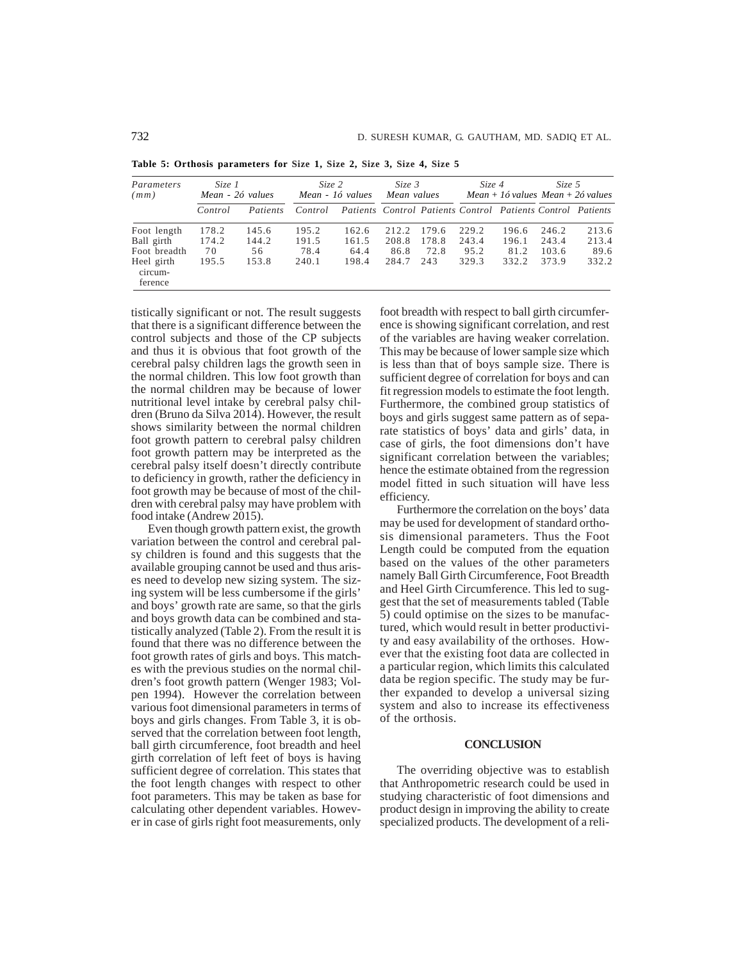| Parameters<br>(mm)               | Size 1  | Mean - 2ó values | Size 2  | Mean - 16 values | Size 3<br>Mean values |       | Size 4 | $Mean + 16$ values $Mean + 26$ values                       | Size 5 |       |
|----------------------------------|---------|------------------|---------|------------------|-----------------------|-------|--------|-------------------------------------------------------------|--------|-------|
|                                  | Control | Patients         | Control |                  |                       |       |        | Patients Control Patients Control Patients Control Patients |        |       |
| Foot length                      | 178.2   | 145.6            | 195.2   | 162.6            | 212.2                 | 179.6 | 229.2  | 196.6                                                       | 246.2  | 213.6 |
| Ball girth                       | 174.2   | 144.2            | 191.5   | 161.5            | 208.8                 | 178.8 | 243.4  | 196.1                                                       | 243.4  | 213.4 |
| Foot breadth                     | 70      | 56               | 78.4    | 64.4             | 86.8                  | 72.8  | 95.2   | 81.2                                                        | 103.6  | 89.6  |
| Heel girth<br>circum-<br>ference | 195.5   | 153.8            | 240.1   | 198.4            | 284.7                 | 243   | 329.3  | 332.2                                                       | 373.9  | 332.2 |

**Table 5: Orthosis parameters for Size 1, Size 2, Size 3, Size 4, Size 5**

tistically significant or not. The result suggests that there is a significant difference between the control subjects and those of the CP subjects and thus it is obvious that foot growth of the cerebral palsy children lags the growth seen in the normal children. This low foot growth than the normal children may be because of lower nutritional level intake by cerebral palsy children (Bruno da Silva 2014). However, the result shows similarity between the normal children foot growth pattern to cerebral palsy children foot growth pattern may be interpreted as the cerebral palsy itself doesn't directly contribute to deficiency in growth, rather the deficiency in foot growth may be because of most of the children with cerebral palsy may have problem with food intake (Andrew 2015).

Even though growth pattern exist, the growth variation between the control and cerebral palsy children is found and this suggests that the available grouping cannot be used and thus arises need to develop new sizing system. The sizing system will be less cumbersome if the girls' and boys' growth rate are same, so that the girls and boys growth data can be combined and statistically analyzed (Table 2). From the result it is found that there was no difference between the foot growth rates of girls and boys. This matches with the previous studies on the normal children's foot growth pattern (Wenger 1983; Volpen 1994). However the correlation between various foot dimensional parameters in terms of boys and girls changes. From Table 3, it is observed that the correlation between foot length, ball girth circumference, foot breadth and heel girth correlation of left feet of boys is having sufficient degree of correlation. This states that the foot length changes with respect to other foot parameters. This may be taken as base for calculating other dependent variables. However in case of girls right foot measurements, only

foot breadth with respect to ball girth circumference is showing significant correlation, and rest of the variables are having weaker correlation. This may be because of lower sample size which is less than that of boys sample size. There is sufficient degree of correlation for boys and can fit regression models to estimate the foot length. Furthermore, the combined group statistics of boys and girls suggest same pattern as of separate statistics of boys' data and girls' data, in case of girls, the foot dimensions don't have significant correlation between the variables; hence the estimate obtained from the regression model fitted in such situation will have less efficiency.

Furthermore the correlation on the boys' data may be used for development of standard orthosis dimensional parameters. Thus the Foot Length could be computed from the equation based on the values of the other parameters namely Ball Girth Circumference, Foot Breadth and Heel Girth Circumference. This led to suggest that the set of measurements tabled (Table 5) could optimise on the sizes to be manufactured, which would result in better productivity and easy availability of the orthoses. However that the existing foot data are collected in a particular region, which limits this calculated data be region specific. The study may be further expanded to develop a universal sizing system and also to increase its effectiveness of the orthosis.

#### **CONCLUSION**

The overriding objective was to establish that Anthropometric research could be used in studying characteristic of foot dimensions and product design in improving the ability to create specialized products. The development of a reli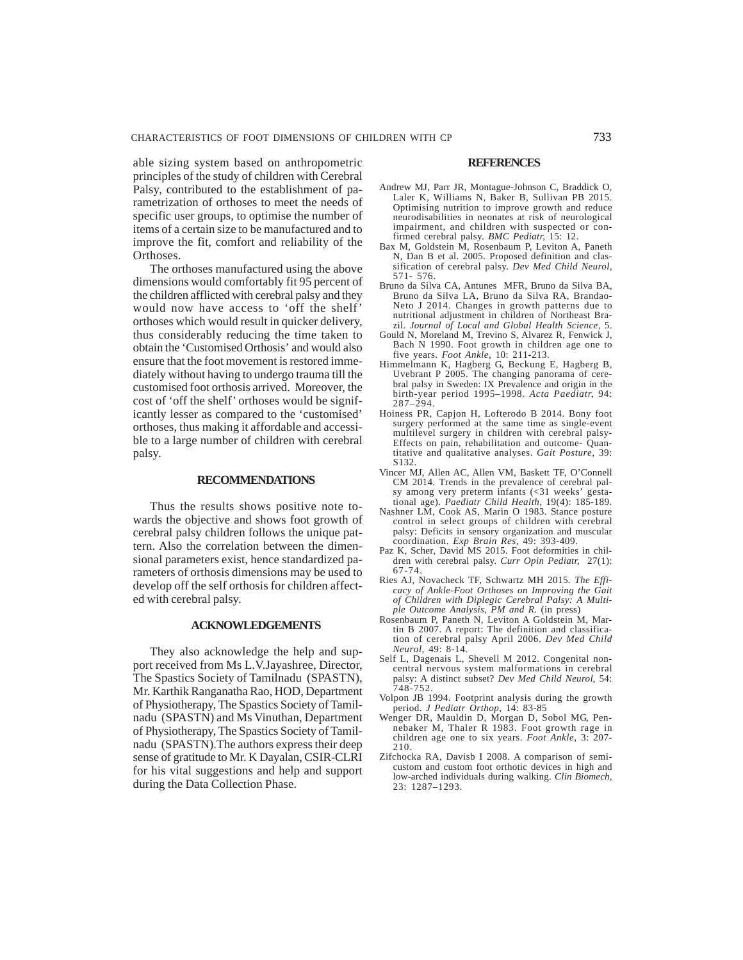able sizing system based on anthropometric principles of the study of children with Cerebral Palsy, contributed to the establishment of parametrization of orthoses to meet the needs of specific user groups, to optimise the number of items of a certain size to be manufactured and to improve the fit, comfort and reliability of the Orthoses.

The orthoses manufactured using the above dimensions would comfortably fit 95 percent of the children afflicted with cerebral palsy and they would now have access to 'off the shelf' orthoses which would result in quicker delivery, thus considerably reducing the time taken to obtain the 'Customised Orthosis' and would also ensure that the foot movement is restored immediately without having to undergo trauma till the customised foot orthosis arrived. Moreover, the cost of 'off the shelf' orthoses would be significantly lesser as compared to the 'customised' orthoses, thus making it affordable and accessible to a large number of children with cerebral palsy.

#### **RECOMMENDATIONS**

Thus the results shows positive note towards the objective and shows foot growth of cerebral palsy children follows the unique pattern. Also the correlation between the dimensional parameters exist, hence standardized parameters of orthosis dimensions may be used to develop off the self orthosis for children affected with cerebral palsy.

#### **ACKNOWLEDGEMENTS**

They also acknowledge the help and support received from Ms L.V.Jayashree, Director, The Spastics Society of Tamilnadu (SPASTN), Mr. Karthik Ranganatha Rao, HOD, Department of Physiotherapy, The Spastics Society of Tamilnadu (SPASTN) and Ms Vinuthan, Department of Physiotherapy, The Spastics Society of Tamilnadu (SPASTN).The authors express their deep sense of gratitude to Mr. K Dayalan, CSIR-CLRI for his vital suggestions and help and support during the Data Collection Phase.

#### **REFERENCES**

- Andrew MJ, Parr JR, Montague-Johnson C, Braddick O, Laler K, Williams N, Baker B, Sullivan PB 2015. Optimising nutrition to improve growth and reduce neurodisabilities in neonates at risk of neurological impairment, and children with suspected or confirmed cerebral palsy. *BMC Pediatr,* 15: 12.
- Bax M, Goldstein M, Rosenbaum P, Leviton A, Paneth N, Dan B et al. 2005. Proposed definition and classification of cerebral palsy. *Dev Med Child Neurol,* 571- 576.
- Bruno da Silva CA, Antunes MFR, Bruno da Silva BA, Bruno da Silva LA, Bruno da Silva RA, Brandao-Neto J 2014. Changes in growth patterns due to nutritional adjustment in children of Northeast Brazil. *Journal of Local and Global Health Science,* 5.
- Gould N, Moreland M, Trevino S, Alvarez R, Fenwick J, Bach N 1990. Foot growth in children age one to five years. *Foot Ankle,* 10: 211-213.
- Himmelmann K, Hagberg G, Beckung E, Hagberg B, Uvebrant P 2005. The changing panorama of cerebral palsy in Sweden: IX Prevalence and origin in the birth-year period 1995–1998. *Acta Paediatr,* 94:  $287 - 294$ .
- Hoiness PR, Capjon H, Lofterodo B 2014. Bony foot surgery performed at the same time as single-event multilevel surgery in children with cerebral palsy-Effects on pain, rehabilitation and outcome- Quantitative and qualitative analyses. *Gait Posture,* 39: S132.
- Vincer MJ, Allen AC, Allen VM, Baskett TF, O'Connell CM 2014. Trends in the prevalence of cerebral palsy among very preterm infants (<31 weeks' gestational age). *Paediatr Child Health,* 19(4): 185-189.
- Nashner LM, Cook AS, Marin O 1983. Stance posture control in select groups of children with cerebral palsy: Deficits in sensory organization and muscular coordination. *Exp Brain Res,* 49: 393-409.
- Paz K, Scher, David MS 2015. Foot deformities in children with cerebral palsy. *Curr Opin Pediatr,* 27(1): 67-74.
- Ries AJ, Novacheck TF, Schwartz MH 2015*. The Efficacy of Ankle-Foot Orthoses on Improving the Gait of Children with Diplegic Cerebral Palsy: A Multiple Outcome Analysis, PM and R.* (in press)
- Rosenbaum P, Paneth N, Leviton A Goldstein M, Martin B 2007. A report: The definition and classification of cerebral palsy April 2006. *Dev Med Child Neurol,* 49: 8-14.
- Self L, Dagenais L, Shevell M 2012. Congenital noncentral nervous system malformations in cerebral palsy: A distinct subset? *Dev Med Child Neurol,* 54: 748-752.
- Volpon JB 1994. Footprint analysis during the growth period. *J Pediatr Orthop,* 14: 83-85
- Wenger DR, Mauldin D, Morgan D, Sobol MG, Pennebaker M, Thaler R 1983. Foot growth rage in children age one to six years. *Foot Ankle,* 3: 207- 210.
- Zifchocka RA, Davisb I 2008. A comparison of semicustom and custom foot orthotic devices in high and low-arched individuals during walking. *Clin Biomech,* 23: 1287–1293.